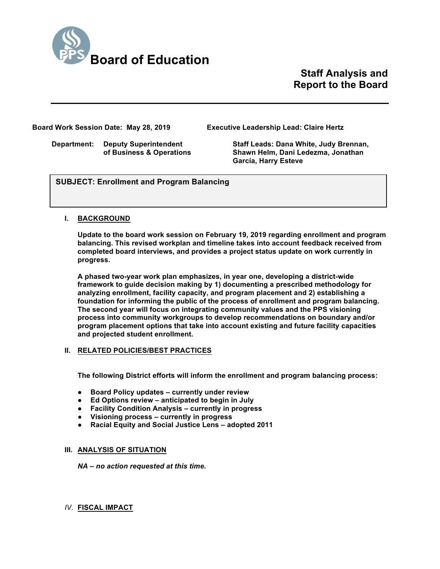

**Staff Analysis and Report to the Board**

**Board Work Session Date: May 28, 2019 Executive Leadership Lead: Claire Hertz**

**Department: Deputy Superintendent Staff Leads: Dana White, Judy Brennan, of Business & Operations Shawn Helm, Dani Ledezma, Jonathan Garcia, Harry Esteve**

*U\se this section to briefly explain the item—2-3 sentences)* **SUBJECT: Enrollment and Program Balancing**

## **I. BACKGROUND**

**Update to the board work session on February 19, 2019 regarding enrollment and program balancing. This revised workplan and timeline takes into account feedback received from completed board interviews, and provides a project status update on work currently in progress.** 

**A phased two-year work plan emphasizes, in year one, developing a district-wide framework to guide decision making by 1) documenting a prescribed methodology for analyzing enrollment, facility capacity, and program placement and 2) establishing a foundation for informing the public of the process of enrollment and program balancing. The second year will focus on integrating community values and the PPS visioning process into community workgroups to develop recommendations on boundary and/or program placement options that take into account existing and future facility capacities and projected student enrollment.**

## **II. RELATED POLICIES/BEST PRACTICES**

**The following District efforts will inform the enrollment and program balancing process:**

- **Board Policy updates – currently under review**
- **Ed Options review – anticipated to begin in July**
- **Facility Condition Analysis – currently in progress**
- **Visioning process – currently in progress**
- **Racial Equity and Social Justice Lens – adopted 2011**

# **III. ANALYSIS OF SITUATION**

*NA – no action requested at this time.*

# *IV.* **FISCAL IMPACT**